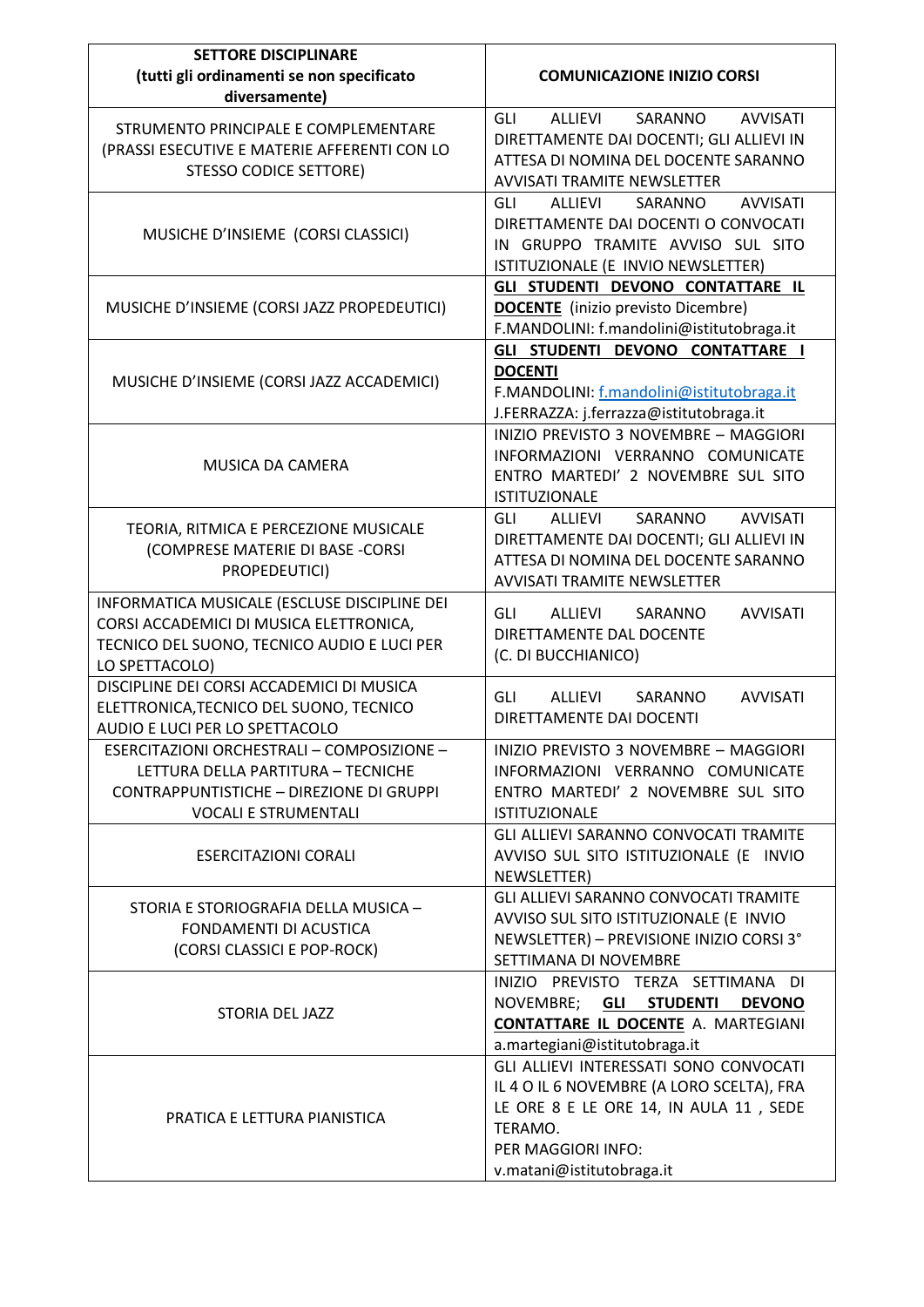| <b>SETTORE DISCIPLINARE</b><br>(tutti gli ordinamenti se non specificato<br>diversamente)                                                                          | <b>COMUNICAZIONE INIZIO CORSI</b>                                                                                                                                                           |
|--------------------------------------------------------------------------------------------------------------------------------------------------------------------|---------------------------------------------------------------------------------------------------------------------------------------------------------------------------------------------|
| STRUMENTO PRINCIPALE E COMPLEMENTARE<br>(PRASSI ESECUTIVE E MATERIE AFFERENTI CON LO<br><b>STESSO CODICE SETTORE)</b>                                              | GLI<br>ALLIEVI<br>SARANNO<br><b>AVVISATI</b><br>DIRETTAMENTE DAI DOCENTI; GLI ALLIEVI IN<br>ATTESA DI NOMINA DEL DOCENTE SARANNO<br><b>AVVISATI TRAMITE NEWSLETTER</b>                      |
| MUSICHE D'INSIEME (CORSI CLASSICI)                                                                                                                                 | <b>AVVISATI</b><br>ALLIEVI<br>SARANNO<br>GLI<br>DIRETTAMENTE DAI DOCENTI O CONVOCATI<br>IN GRUPPO TRAMITE AVVISO SUL SITO<br>ISTITUZIONALE (E INVIO NEWSLETTER)                             |
| MUSICHE D'INSIEME (CORSI JAZZ PROPEDEUTICI)                                                                                                                        | GLI STUDENTI DEVONO CONTATTARE IL<br><b>DOCENTE</b> (inizio previsto Dicembre)<br>F.MANDOLINI: f.mandolini@istitutobraga.it                                                                 |
| MUSICHE D'INSIEME (CORSI JAZZ ACCADEMICI)                                                                                                                          | GLI STUDENTI DEVONO CONTATTARE I<br><b>DOCENTI</b><br>F.MANDOLINI: f.mandolini@istitutobraga.it<br>J.FERRAZZA: j.ferrazza@istitutobraga.it                                                  |
| <b>MUSICA DA CAMERA</b>                                                                                                                                            | INIZIO PREVISTO 3 NOVEMBRE - MAGGIORI<br>INFORMAZIONI VERRANNO COMUNICATE<br>ENTRO MARTEDI' 2 NOVEMBRE SUL SITO<br><b>ISTITUZIONALE</b>                                                     |
| TEORIA, RITMICA E PERCEZIONE MUSICALE<br>(COMPRESE MATERIE DI BASE -CORSI<br>PROPEDEUTICI)                                                                         | ALLIEVI<br>SARANNO<br><b>AVVISATI</b><br>GLI<br>DIRETTAMENTE DAI DOCENTI; GLI ALLIEVI IN<br>ATTESA DI NOMINA DEL DOCENTE SARANNO<br>AVVISATI TRAMITE NEWSLETTER                             |
| INFORMATICA MUSICALE (ESCLUSE DISCIPLINE DEI<br>CORSI ACCADEMICI DI MUSICA ELETTRONICA,<br>TECNICO DEL SUONO, TECNICO AUDIO E LUCI PER<br>LO SPETTACOLO)           | GLI<br>ALLIEVI<br>SARANNO<br><b>AVVISATI</b><br>DIRETTAMENTE DAL DOCENTE<br>(C. DI BUCCHIANICO)                                                                                             |
| DISCIPLINE DEI CORSI ACCADEMICI DI MUSICA<br>ELETTRONICA, TECNICO DEL SUONO, TECNICO<br>AUDIO E LUCI PER LO SPETTACOLO                                             | ALLIEVI<br>GLI<br>SARANNO<br><b>AVVISATI</b><br>DIRETTAMENTE DAI DOCENTI                                                                                                                    |
| ESERCITAZIONI ORCHESTRALI - COMPOSIZIONE -<br>LETTURA DELLA PARTITURA - TECNICHE<br><b>CONTRAPPUNTISTICHE - DIREZIONE DI GRUPPI</b><br><b>VOCALI E STRUMENTALI</b> | INIZIO PREVISTO 3 NOVEMBRE - MAGGIORI<br>INFORMAZIONI VERRANNO COMUNICATE<br>ENTRO MARTEDI' 2 NOVEMBRE SUL SITO<br><b>ISTITUZIONALE</b>                                                     |
| <b>ESERCITAZIONI CORALI</b>                                                                                                                                        | GLI ALLIEVI SARANNO CONVOCATI TRAMITE<br>AVVISO SUL SITO ISTITUZIONALE (E INVIO<br>NEWSLETTER)                                                                                              |
| STORIA E STORIOGRAFIA DELLA MUSICA -<br>FONDAMENTI DI ACUSTICA<br>(CORSI CLASSICI E POP-ROCK)                                                                      | GLI ALLIEVI SARANNO CONVOCATI TRAMITE<br>AVVISO SUL SITO ISTITUZIONALE (E INVIO<br>NEWSLETTER) - PREVISIONE INIZIO CORSI 3°<br>SETTIMANA DI NOVEMBRE                                        |
| STORIA DEL JAZZ                                                                                                                                                    | INIZIO PREVISTO TERZA SETTIMANA DI<br>NOVEMBRE; GLI STUDENTI<br><b>DEVONO</b><br><b>CONTATTARE IL DOCENTE A. MARTEGIANI</b><br>a.martegiani@istitutobraga.it                                |
| PRATICA E LETTURA PIANISTICA                                                                                                                                       | GLI ALLIEVI INTERESSATI SONO CONVOCATI<br>IL 4 O IL 6 NOVEMBRE (A LORO SCELTA), FRA<br>LE ORE 8 E LE ORE 14, IN AULA 11, SEDE<br>TERAMO.<br>PER MAGGIORI INFO:<br>v.matani@istitutobraga.it |